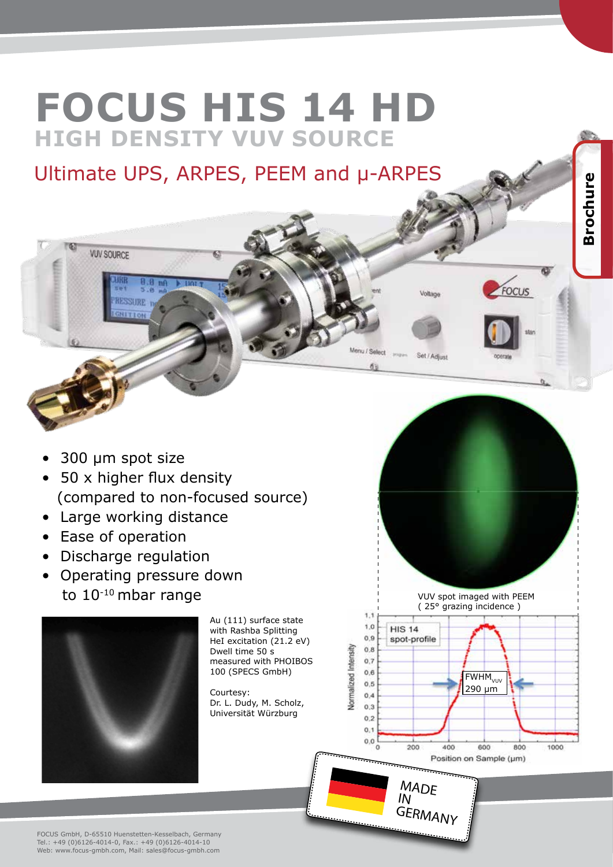## **FOCUS HIS 14 HD HIGH DENSITY VUV SOURCE**

Ultimate UPS, ARPES, PEEM and µ-ARPES

**Brochure**

FOCUS

Voltan

Set / Adjust

Menu / Select

 $1,1$  $1,0$ 

 $0.9$ 

 $0.8$  $0.7$  $0,6$  $0.5$  $0.4$  $0,3$  $0,2$  $0,1$  $0.0$ 

Normalized Intensity

**HIS 14** 

spot-profile

**Impact** 

**Brochure** 

FWHM<sub>VUV</sub> 290 µm

600

Position on Sample (um)

800

1000

VUV spot imaged with PEEM ( 25° grazing incidence )

**MADE**  $\overline{I}$ 

200

**GERMANY** 

400

## • 300 µm spot size

**VUV SOURCE** 

**RESSURE**  $C(1)$   $T(2)$ 

- 50 x higher flux density (compared to non-focused source)
- Large working distance
- Ease of operation
- Discharge regulation
- Operating pressure down to 10-10 mbar range



Au (111) surface state with Rashba Splitting HeI excitation (21.2 eV) Dwell time 50 s measured with PHOIBOS 100 (SPECS GmbH)

Courtesy: Dr. L. Dudy, M. Scholz, Universität Würzburg

FOCUS GmbH, D-65510 Huenstetten-Kesselbach, Germany Tel.: +49 (0)6126-4014-0, Fax.: +49 (0)6126-4014-10 Web: www.focus-gmbh.com, Mail: sales@focus-gmbh.com